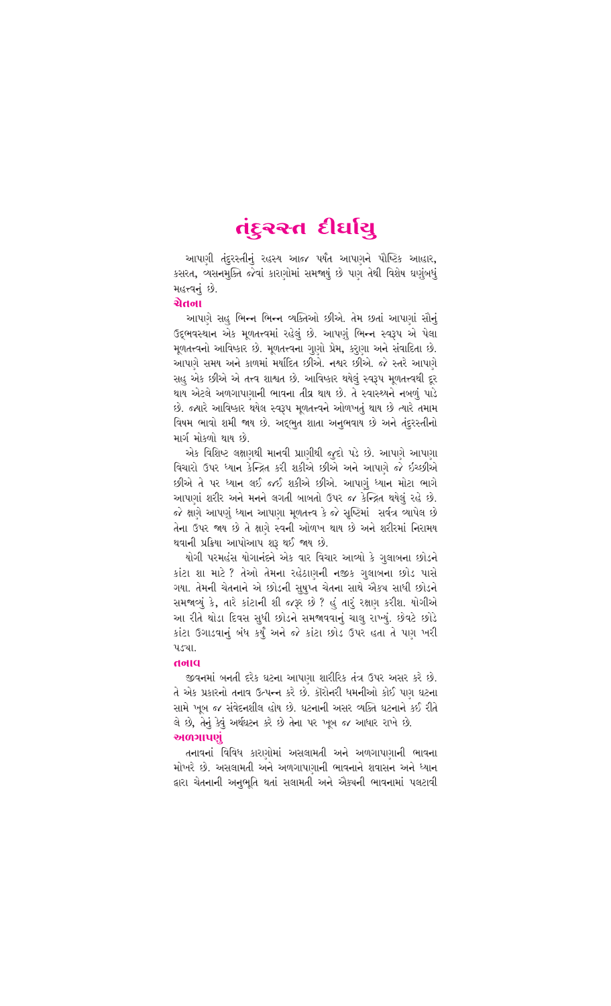# તંદુરસ્ત દીર્ઘાયુ

આપણી તંદુરસ્તીનું રહસ્ય આજ પર્યંત આપણને પૌષ્ટિક આહાર, કસરત, વ્યસનમુક્તિ જેવાં કારણોમાં સમજાયું છે પણ તેથી વિશેષ ઘણુંબધું **મહત્ત્વનું છે.** 

### ચેતના

આપણે સહુ ભિન્ન ભિન્ન વ્યક્તિઓ છીએ. તેમ છતાં આપણાં સૌનું ઉદભવસ્થાન એક મળતત્ત્વમાં રહેલું છે. આપણું ભિન્ન સ્વરૂપ એ પેલા મુળતત્ત્વનો આવિષ્કાર છે. મુળતત્ત્વના ગુણો પ્રેમ, કરાણા અને સંવાદિતા છે. આપણે સમય અને કાળમાં મર્યાદિત છીએ. નશ્વર છીએ. જે સ્તરે આપણે સહ એક છીએ એ તત્ત્વ શાશ્વત છે. આવિષ્કાર થયેલું સ્વરૂપ મુળતત્ત્વથી દૂર થાય એટલે અળગાપણાની ભાવના તીવ્ર થાય છે. તે સ્વાસ્થ્યને નબળું પાડે છે. જ્યારે આવિષ્કાર થયેલ સ્વરૂપ મુળતત્ત્વને ઓળખતું થાય છે ત્યારે તમામ વિષમ ભાવો શમી જાય છે. અદ્દભુત શાતા અનુભવાય છે અને તંદુરસ્તીનો માર્ગમોકળો થાય છે.

એક વિશિષ્ટ લક્ષણથી માનવી પ્રાણીથી જુદો પડે છે. આપણે આપણા વિચારો ઉપર ધ્યાન કેન્દ્રિત કરી શકીએ છીએ અને આપણે જે ઇચ્છીએ છીએ તે પર ધ્યાન લઈ જઈ શકીએ છીએ. આપણું ધ્યાન મોટા ભાગે આપણાં શરીર અને મનને લગતી બાબતો ઉપર જ કેન્દ્રિત થયેલું રહે છે. જે ક્ષણે આપણું ધ્યાન આપણા મૂળતત્ત્વ કે જે સૃષ્ટિમાં સર્વત્ર વ્યાપેલ છે તેના ઉપર જાય છે તે ક્ષણે સ્વની ઓળખ થાય છે અને શરીરમાં નિરામય થવાની પ્રક્રિયા આપોઆપ શરૂ થઈ જાય છે.

યોગી પરમહંસ યોગાનંદને એક વાર વિચાર આવ્યો કે ગુલાબના છોડને કાંટા શા માટે ? તેઓ તેમના રહેઠાણની નજીક ગુલાબના છોડ પાસે ગયા. તેમની ચેતનાને એ છોડની સુષુપ્ત ચેતના સાથે ઐક્ચ સાધી છોડને સમજાવ્યું કે, તારે કાંટાની શી જરૂર છે ? હું તારું રક્ષણ કરીશ. યોગીએ આ રીતે થોડા દિવસ સુધી છોડને સમજાવવાનું ચાલુ રાખ્યું. છેવટે છોડે કાંટા ઉગાડવાનું બંધ કર્યું અને જે કાંટા છોડ ઉપર હતા તે પણ ખરી ૫ડચા.

#### alloh

જીવનમાં બનતી દરેક ઘટના આપણા શારીરિક તંત્ર ઉપર અસર કરે છે. તે એક પ્રકારનો તનાવ ઉત્પન્ન કરે છે. કૉરોનરી ધમનીઓ કોઈ પણ ઘટના સામે ખબ જ સંવેદનશીલ હોય છે. ઘટનાની અસર વ્યક્તિ ઘટનાને કઈ રીતે લે છે. તેનું કેવું અર્થઘટન કરે છે તેના પર ખૂબ જ આધાર રાખે છે. અળગાપણં

તનાવનાં વિવિધ કારણોમાં અસલામતી અને અળગાપણાની ભાવના મોખરે છે. અસલામતી અને અળગાપણાની ભાવનાને શવાસન અને ધ્યાન લારા ચેતનાની અનુભુતિ થતાં સલામતી અને ઐક્ચની ભાવનામાં પલટાવી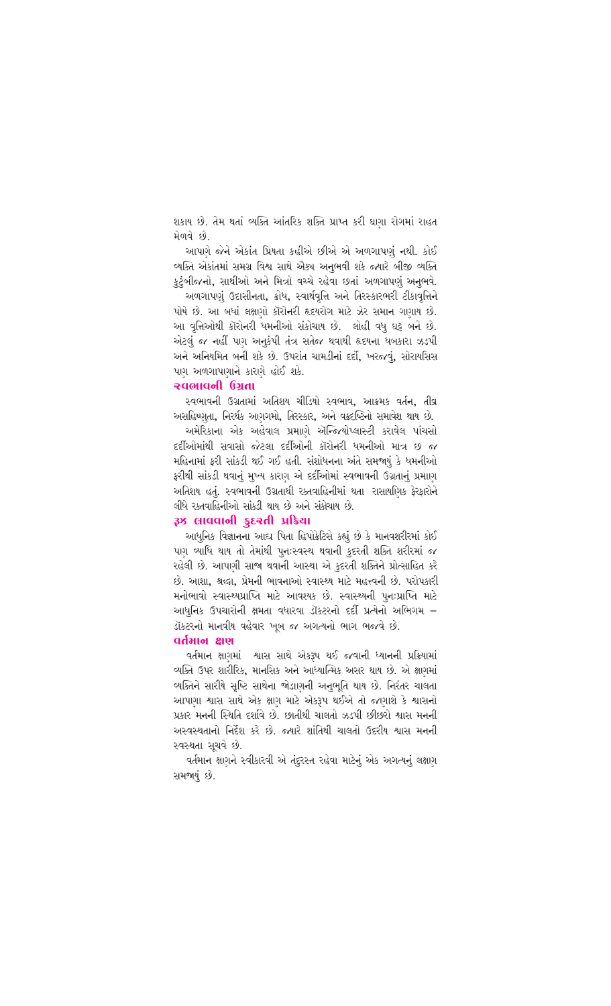શકાય છે. તેમ થતાં વ્યક્તિ આંતરિક શક્તિ પ્રાપ્ત કરી ઘણા રોગમાં રાહત મેળવે છે.

આપણે જેને એકાંત પ્રિયતા કહીએ છીએ એ અળગાપણં નથી. કોઈ વ્યક્તિ એકાંતમાં સમગ્ર વિશ્વ સાથે એક્ચ અનભવી શકે જ્યારે બીજી વ્યક્તિ કટંબીજનો, સાથીઓ અને મિત્રો વચ્ચે રહેવા છતાં અળગાપણં અનભવે.

અળગાપણં ઉદાસીનતા, ક્રોધ, સ્વાર્થવૃત્તિ અને તિરસ્કારભરી ટીકાવૃત્તિને પોષે છે. આ બધાં લક્ષાગો કૉરોનરી હૃદયરોગ માટે ઝેર સમાન ગણાય છે. આ વત્તિઓથી કૉરોનરી ધમનીઓ સંકોચાય છે. લોહી વધ ઘટ બને છે. એટલ જ નહીં પણ અનકંપી તંત્ર સતેજ થવાથી હૃદયના ધબકારા ઝડપી અને અનિયમિત બની શકે છે. ઉપરાંત ચામડીનાં દર્દો, ખરજવું, સોરાયસિસ પાગ અળગાપણાને કારણે હોઈ શકે.

# क्यलावनी ઉગતા

સ્વભાવની ઉગ્રતામાં અતિશય ચીડિયો સ્વભાવ, આક્રમક વર્તન, તીવ્ર અસહિષ્ણતા, નિરર્થક આગગમો, તિરસ્કાર, અને વક્રદષ્ટિનો સમાવેશ થાય છે.

અમેરિકાના એક અહેવાલ પ્રમાણે ઍન્જિયોપ્લાસ્ટી કરાવેલ પાંચસો દર્દીઓમાંથી સવાસો જેટલા દર્દીઓની કૉરોનરી ધમનીઓ માત્ર છ જ મહિનામાં કરી સાંકડી થઈ ગઈ હતી. સંશોધનના અંતે સમજાયં કે ધમનીઓ કરીથી સાંકડી થવાનં મખ્ય કારણ એ દર્દીઓમાં સ્વભાવની ઉગ્રતાનં પ્રમાણ અતિશય હતું. સ્વભાવની ઉગ્રતાથી રક્તવાહિનીમાં થતા રાસાયણિક કેરકારોને લીધે રક્તવાહિનીઓ સાંકડી થાય છે અને સંકોચાય છે.

# as cuadiol seed user

આધુનિક વિજ્ઞાનના આદ્ય પિતા હિપોક્રેટિસે કહ્યું છે કે માનવશરીરમાં કોઈ પણ વ્યાધિ થાય તો તેમાંથી પુનઃસ્વસ્થ થવાની કુદરતી શક્તિ શરીરમાં જ રહેલી છે. આપણી સાજા થવાની આસ્થા એ કદરતી શક્તિને પ્રોત્સાહિત કરે છે. આશા, શ્રદ્ધા, પ્રેમની ભાવનાઓ સ્વાસ્થ્ય માટે મહત્ત્વની છે. પરોપકારી મનોભાવો સ્વાસ્થ્યપ્રાપ્તિ માટે આવશ્યક છે. સ્વાસ્થ્યની પનઃપ્રાપ્તિ માટે આધુનિક ઉપચારોની ક્ષમતા વધારવા ડૉકટરનો દર્દી પ્રત્યેનો અભિગમ – ડૉક્ટરનો માનવીય વહેવાર ખૂબ જ અગત્યનો ભાગ ભજવે છે.

## तपुभाष क्षण

વર્તમાન ક્ષણમાં શ્વાસ સાથે એકરૂપ થઈ જવાની ધ્યાનની પ્રક્રિયામાં વ્યક્તિ ઉપર શારીરિક, માનસિક અને આંધ્યાત્મિક અસર થાય છે. એ ક્ષણમાં વ્યક્તિને સારીયે સૃષ્ટિ સાથેના જોડાણની અનભતિ થાય છે. નિરંતર ચાલતા આપણા શ્વાસ સાથે એક ક્ષણ માટે એકરૂપ થઈએ તો જણાશે કે શ્વાસનો પ્રકાર મનની સ્થિતિ દર્શાવે છે. છાતીથી ચાલતો ઝડપી છીછરો શ્વાસ મનની અસ્વસ્થતાનો નિર્દેશ કરે છે. જ્યારે શાંતિથી ચાલતો ઉદરીય શ્વાસ મનની સ્વસ્થતા સચવે છે.

વર્તમાન ક્ષાગને સ્વીકારવી એ તંદરસ્ત રહેવા માટેનં એક અગત્યનં લક્ષાગ સમજાયું છે.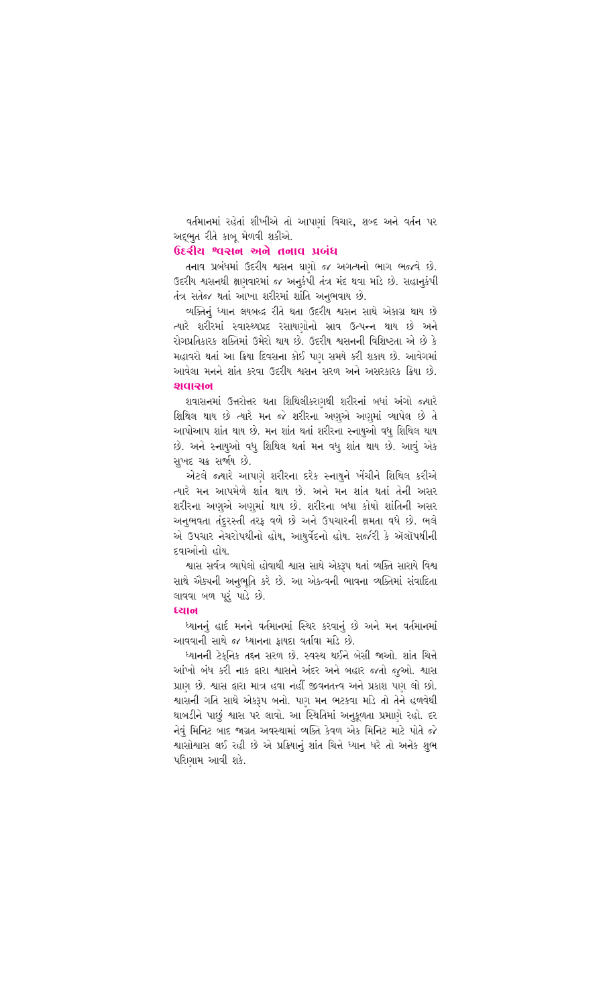વર્તમાનમાં રહેતાં શીખીએ તો આપણાં વિચાર, શબ્દ અને વર્તન પર અદભત રીતે કાબ મેળવી શકીએ.

# ઉદ્દેશીય શ્વસન અને તનાવ પ્રબંધ

તનાવ પ્રબંધમાં ઉદરીય શ્વસન ઘણો જ અગત્યનો ભાગ ભજવે છે. ઉદરીય શ્વસનથી ક્ષણવારમાં જ અનકંપી તંત્ર મંદ થવા માંડે છે. સહાનકંપી તંત્ર સતેજ થતાં આખા શરીરમાં શાંતિ અનભવાય છે.

વ્યક્તિનું ધ્યાન લયબદ્ધ રીતે થતા ઉદરીય શ્વસન સાથે એકાગ્ર થાય છે ત્યારે શરીરમાં સ્વાસ્થ્યપ્રદ રસાયણોનો સ્રાવ ઉત્પન્ન થાય છે અને રોગપ્રતિકારક શક્તિમાં ઉમેરો થાય છે. ઉદરીય શ્વસનની વિશિષ્ટતા એ છે કે મહાવરો થતાં આ ક્રિયા દિવસના કોઈ પાગ સમયે કરી શકાય છે. આવેગમાં આવેલા મનને શાંત કરવા ઉદરીય શ્વસન સરળ અને અસરકારક ક્રિયા છે. 91012401

શવાસનમાં ઉત્તરોત્તર થતા શિથિલીકરણથી શરીરનાં બધાં અંગો જ્યારે શિથિલ થાય છે ત્યારે મન જે શરીરના અણએ અણમાં વ્યાપેલ છે તે આપોઆપ શાંત થાય છે. મન શાંત થતાં શરીરના સ્નાયુઓ વધ શિથિલ થાય છે. અને સ્નાયઓ વધુ શિથિલ થતાં મન વધુ શાંત થાય છે. આવું એક સખદ ચક્ર સર્જાય છે.

એટલે જ્યારે આપણે શરીરના દરેક સ્નાયને ખેંચીને શિથિલ કરીએ ત્યારે મન આપમેળે શાંત થાય છે. અને મન શાંત થતાં તેની અસર શરીરના અણએ અણમાં થાય છે. શરીરના બધા કોષો શાંતિની અસર અનભવતા તંદરસ્તી તરક વળે છે અને ઉપચારની ક્ષમતા વધે છે. ભલે એ ઉપચાર નેચરોપથીનો હોય, આયર્વેદનો હોય. સર્જરી કે ઍલૉપથીની દવાઓનો હોય.

શ્વાસ સર્વત્ર વ્યાપેલો હોવાથી શ્વાસ સાથે એક્રમ થતાં વ્યક્તિ સારાયે વિશ્વ સાથે ઐક્ચની અનુભૂતિ કરે છે. આ એક્ત્વની ભાવના વ્યક્તિમાં સંવાદિતા લાવવા બળ પરંપાડે છે.

#### स्यान

ધ્યાનનું હાર્દ મનને વર્તમાનમાં સ્થિર કરવાનું છે અને મન વર્તમાનમાં આવવાની સાથે જ ધ્યાનના કાયદા વર્તાવા માંડે છે.

ધ્યાનની ટેકનિક તદ્દન સરળ છે. સ્વસ્થ થઈને બેસી જાઓ. શાંત ચિત્તે આંખો બંધ કરી નાક દ્વારા શ્વાસને અંદર અને બહાર જતો જઓ. શ્વાસ પ્રાણ છે. શ્વાસ દ્વારા માત્ર હવા નહીં જીવનતત્ત્વ અને પ્રકાશ પણ લો છો. શ્વાસની ગતિ સાથે એકરૂપ બનો. પણ મન ભટકવા માંડે તો તેને હળવેથી થાબડીને પાછં શ્વાસ પર લાવો. આ સ્થિતિમાં અનકળતા પ્રમાણે રહો. દર નેવં મિનિટ બાદ જાગ્રત અવસ્થામાં વ્યક્તિ કેવળ એક મિનિટ માટે પોતે જે શ્વાસોશ્વાસ લઈ રહી છે એ પ્રક્રિયાનં શાંત ચિત્તે ધ્યાન ધરે તો અનેક શભ પરાિગામ આવી શકે.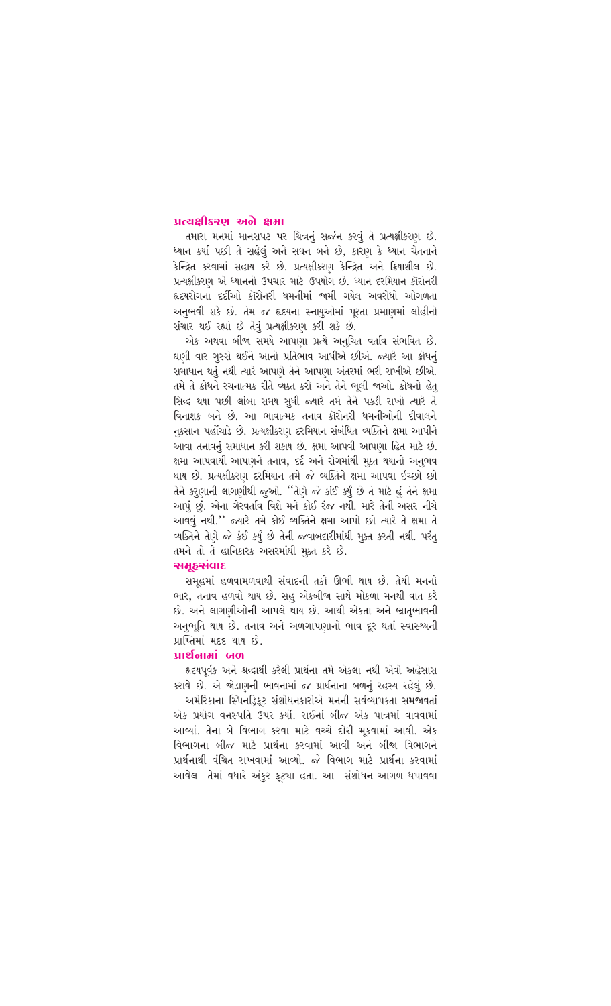#### प्रत्यक्षीऽ२ए अले क्षमा

તમારા મનમાં માનસપટ પર ચિત્રનું સર્જન કરવું તે પ્રત્યક્ષીકરણ છે. ધ્યાન કર્યા પછી તે સહેલું અને સઘન બને છે, કારણ કે ધ્યાન ચેતનાને ્રેન્દ્રિત કરવામાં સહાય કરે છે. પ્રત્યક્ષીકરણ કેન્દ્રિત અને ક્રિયાશીલ છે. પ્રત્યક્ષીકરણ એ ધ્યાનનો ઉપચાર માટે ઉપયોગ છે. ધ્યાન દરમિયાન કૉરોનરી હૃદયરોગનાં દર્દીઓ કૉરોનરી ધમનીમાં જામી ગયેલ અવરોધો ઓગળતા અનભવી શકે છે. તેમ જ હૃદયના સ્નાયઓમાં પરતા પ્રમાણમાં લોહીનો સંચાર થઈ રહ્યો છે તેવં પ્રત્યક્ષીકરાગ કરી શકે છે.

એક અથવા બીજા સમયે આપણા પ્રત્યે અનચિત વર્તાવ સંભવિત છે. ઘણી વાર ગસ્સે થઈને આનો પ્રતિભાવ આપીએ છીએ. જ્યારે આ ક્રોધનં સમાધાન થતું નથી ત્યારે આપણે તેને આપણા અંતરમાં ભરી રાખીએ છીએ. તમે તે ક્રોધને રચનાત્મક રીતે વ્યક્ત કરો અને તેને ભલી જાઓ. ક્રોધનો હેત સિદ્ધ થયા પછી લાંબા સમય સધી જ્યારે તમે તેને પકડી રાખો ત્યારે તે વિનાશક બને છે. આ ભાવાત્મક તનાવ કૉરોનરી ધમનીઓની દીવાલને નુકસાન પહોંચાડે છે. પ્રત્યક્ષીકરણ દરમિયાન સંબંધિત વ્યક્તિને ક્ષમા આપીને આવા તનાવનું સમાધાન કરી શકાય છે. ક્ષમા આપવી આપણા હિત માટે છે. ક્ષમા આપવાથી આપણને તનાવ. દર્દ અને રોગમાંથી મક્ત થયાનો અનભવ થાય છે. પ્રત્યક્ષીકરણ દરમિયાન તમે જે વ્યક્તિને ક્ષમા<sup>ં</sup> આપવા ઇચ્છો છો તેને કરણાની લાગણીથી જુઓ. ''તેણે જે કાંઈ કર્યું છે તે માટે હું તેને ક્ષમા આપું છું. એના ગેરવર્તાવ વિશે મને કોઈ રંજ નથી. મારે તેની અસર નીચે આવવું નથી." જ્યારે તમે કોઈ વ્યક્તિને ક્ષમા આપો છો ત્યારે તે ક્ષમા તે વ્યક્તિને તેણે જે કંઈ કર્યું છે તેની જવાબદારીમાંથી મુક્ત કરતી નથી. પરંતુ તમને તો તે હાનિકારક અસરમાંથી મક્ત કરે છે.

# સમઠસંવાદ

સમહમાં હળવામળવાથી સંવાદની તકો ઊભી થાય છે. તેથી મનનો ભાર, તનાવ હળવો થાય છે. સહુ એકબીજા સાથે મોકળા મનથી વાત કરે છે. અને લાગણીઓની આપલે થાય છે. આથી એકતા અને ભ્રાતભાવની અનભતિ થાય છે. તનાવ અને અળગાપણાનો ભાવ દર થતાં સ્વાસ્થ્યની प्राप्तिमां मदृह थाय छो

#### வல் ப்பின்

હૃદયપર્વક અને શ્રદ્ધાથી કરેલી પ્રાર્થના તમે એકલા નથી એવો અહેસાસ કરાવે છે. એ જોડાણની ભાવનામાં જ પ્રાર્થનાના બળનું રહસ્ય રહેલું છે.

અમેરિકાના સ્પિનડિકટ સંશોધનકારોએ મનની સર્વવ્યાપકતા સમજાવતાં એક પ્રયોગ વનસ્પતિ ઉપર કર્યો. રાઈનાં બીજ એક પાત્રમાં વાવવામાં આવ્યાં. તેના બે વિભાગ કરવા માટે વચ્ચે દોરી મકવામાં આવી. એક .<br>વિભાગના બીજ માટે પ્રાર્થના કરવામાં આવી અને બીજા વિભાગને <u>પ્રાર્થનાથી વંચિત રાખવામાં આવ્યો. જે વિભાગ માટે પ્રાર્થના કરવામાં </u> આવેલ તેમાં વધારે અંકર કટ્યા હતા. આ સંશોધન આગળ ધપાવવા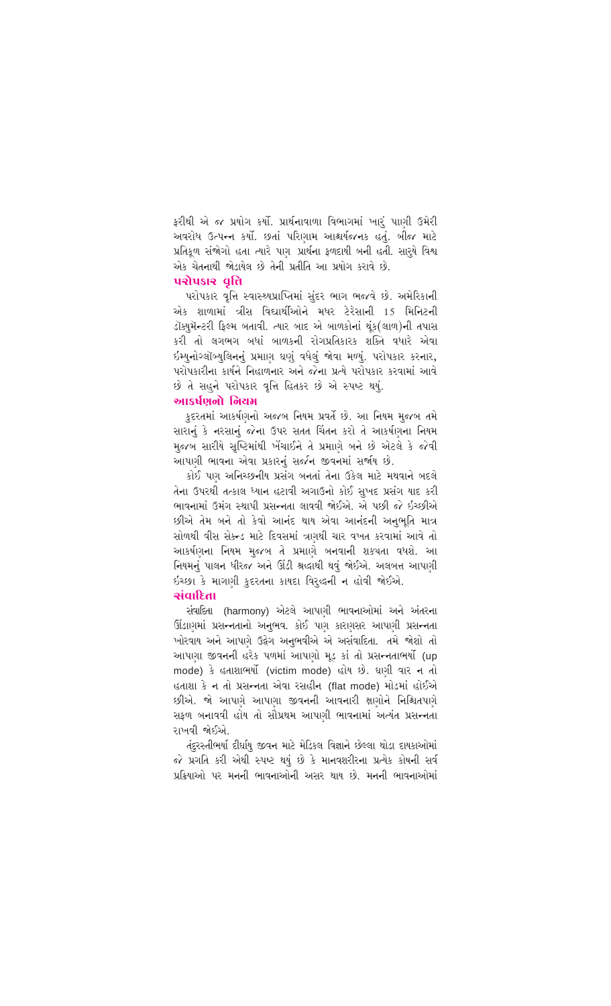ફરીથી એ જ પ્રયોગ કર્યો. પ્રાર્થનાવાળા વિભાગમાં ખારું પાણી ઉમેરી અવરોધ ઉત્પન્ન કર્યો. છતાં પરિણામ આશ્ચર્યજનક હતું. બીજ માટે પ્રતિકળ સંજોગો હતા ત્યારે પણ પ્રાર્થના કળદાયી બની હતી. સારયે વિશ્વ એક ચેતનાથી જોડાયેલ છે તેની પ્રતીતિ આ પ્રયોગ કરાવે છે.

# **ualusia** gh

પરોપકાર વૃત્તિ સ્વાસ્થ્યપ્રાપ્તિમાં સંદર ભાગ ભજવે છે. અમેરિકાની એક શાળામાં ત્રીસ વિદ્યાર્થીઓને મધર ટેરેસાની 15 મિનિટની ડૉક્યમૅન્ટરી કિલ્મ બતાવી. ત્યાર બાદ એ બાળકોનાં થંક(લાળ)ની તપાસ .<br>કરી તો લગભગ બધાં બાળકની રોગપ્રતિકારક શક્તિ વધારે એવા ઇમ્યુનોગ્લૉબ્યુલિનનું પ્રમાણ ઘણું વધેલું જોવા મળ્યું. પરોપકાર કરનાર, પરોપકારીના કાર્યને નિહાળનાર અને જેના પ્રત્યે પરોપકાર કરવામાં આવે છે તે સહને પરોપકાર વૃત્તિ હિતકર છે એ સ્પષ્ટ થયં.

# આકર્ષણનો નિયમ

કદરતમાં આકર્ષણનો અજબ નિયમ પ્રવર્તે છે. આ નિયમ મુજબ તમે સારાનું કે નરસાનું જેના ઉપર સતત ચિંતન કરો તે આકર્ષણના નિયમ મજબ સારીયે સૃષ્ટિમાંથી ખેંચાઈને તે પ્રમાણે બને છે એટલે કે જેવી આપણી ભાવના એવા પ્રકારનં સર્જન જીવનમાં સર્જાય છે.

કોઈ પણ અનિચ્છનીય પ્રસંગ બનતાં તેના ઉકેલ માટે મથવાને બદલે તેના ઉપરથી તત્કાલ ધ્યાન હટાવી અગાઉનો કોઈ સખદ પ્રસંગ યાદ કરી ભાવનામાં ઉમંગ સ્થાપી પ્રસન્નતા લાવવી જોઈએ. એ પછી જે ઈચ્છીએ છીએ તેમ બને તો કેવો આનંદ થાય એવા આનંદની અનભતિ માત્ર સોળથી વીસ સેક્ન્ડ માટે દિવસમાં ત્રણથી ચાર વખત કરવામાં આવે તો આકર્ષણના નિયમ મુજબ તે પ્રમાણે બનવાની શક્ચતા વધશે. આ નિયમનું પાલન ધીરજ અને ઊંડી શ્રદ્ધાથી થવું જોઈએ. અલબત્ત આપણી ઇચ્છા કે માગણી કુદરતના કાયદા વિરૂદ્ધની ન હોવી જોઈએ.

# માડીારાન

સંવાદિતા (harmony) એટલે આપણી ભાવનાઓમાં અને અંતરના ઊંડાણમાં પ્રસન્નતાનો અનુભવ. કોઈ પણ કારણસર આપણી પ્રસન્નતા ખોરવાય અને આપણે ઉદ્વેગ અનભવીએ એ અસંવાદિતા. તમે જોશો તો આપણા જીવનની હરેક પળમાં આપણો મડ કાં તો પ્રસન્નતાભર્યો (up mode) કે હતાશાભર્યો (victim mode) હોય છે. ઘણી વાર ન તો હતાશા કે ન તો પ્રસન્નતા એવા રસહીન (flat mode) મોડમાં હોઈએ છીએ. જો આપણે આપણા જીવનની આવનારી ક્ષણોને નિશ્ચિતપણે સકળ બનાવવી હોય તો સૌપ્રથમ આપણી ભાવનામાં અત્યંત પ્રસન્નતા રાખવી જોઈએ

તંદુરસ્તીભર્યા દીર્ઘાય જીવન માટે મેડિકલ વિજ્ઞાને છેલ્લા થોડા દાયકાઓમાં જે પ્રગતિ કરી એથી સ્પષ્ટ થયું છે કે માનવશરીરના પ્રત્યેક કોષની સર્વ <u>પ્રક્રિયાઓ પર મનની ભાવનાઓની અસર થાય છે. મનની ભાવનાઓમાં </u>